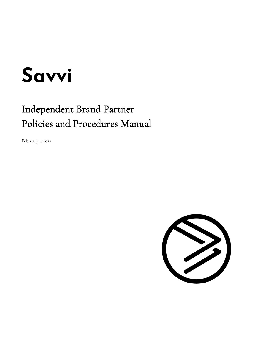# **Savvi**

# Independent Brand Partner Policies and Procedures Manual

February 1, 2022

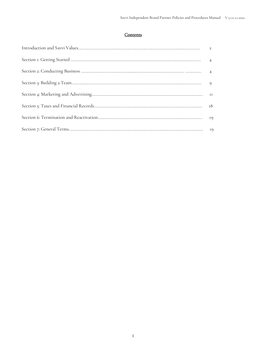#### **Contents**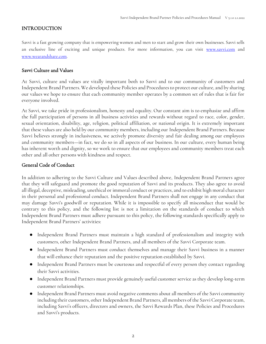#### <span id="page-2-0"></span>INTRODUCTION

Savvi is a fast growing company that is empowering women and men to start and grow their own businesses. Savvi sells an exclusive line of exciting and unique products. For more information, you can visit [www.savvi.com](http://www.savvi.com/) and [www.wearandshare.com.](https://wearandshare.com/)

#### Savvi Culture and Values

At Savvi, culture and values are vitally important both to Savvi and to our community of customers and Independent Brand Partners. We developed these Policies and Procedures to protect our culture, and by sharing our values we hope to ensure that each community member operates by a common set of rules that is fair for everyone involved.

At Savvi, we take pride in professionalism, honesty and equality. Our constant aim is to emphasize and affirm the full participation of persons in all business activities and rewards without regard to race, color, gender, sexual orientation, disability, age, religion, political affiliation, or national origin. It is extremely important that these values are also held by our community members, including our Independent Brand Partners. Because Savvi believes strongly in inclusiveness, we actively promote diversity and fair dealing among our employees and community members—in fact, we do so in all aspects of our business. In our culture, every human being has inherent worth and dignity, so we work to ensure that our employees and community members treat each other and all other persons with kindness and respect.

# General Code of Conduct

In addition to adhering to the Savvi Culture and Values described above, Independent Brand Partners agree that they will safeguard and promote the good reputation of Savvi and its products. They also agree to avoid all illegal, deceptive, misleading, unethical or immoral conduct or practices, and to exhibit high moral character in their personal and professional conduct. Independent Brand Partners shall not engage in any conduct that may damage Savvi's goodwill or reputation. While it is impossible to specify all misconduct that would be contrary to this policy, and the following list is not a limitation on the standards of conduct to which Independent Brand Partners must adhere pursuant to this policy, the following standards specifically apply to Independent Brand Partners' activities:

- Independent Brand Partners must maintain a high standard of professionalism and integrity with customers, other Independent Brand Partners, and all members of the Savvi Corporate team.
- Independent Brand Partners must conduct themselves and manage their Savvi business in a manner that will enhance their reputation and the positive reputation established by Savvi.
- Independent Brand Partners must be courteous and respectful of every person they contact regarding their Savvi activities.
- Independent Brand Partners must provide genuinely useful customer service as they develop long-term customer relationships.
- Independent Brand Partners must avoid negative comments about all members of the Savvi community including their customers, other Independent Brand Partners, all members of the Savvi Corporate team, including Savvi's officers, directors and owners, the Savvi Rewards Plan, these Policies and Procedures and Savvi's products.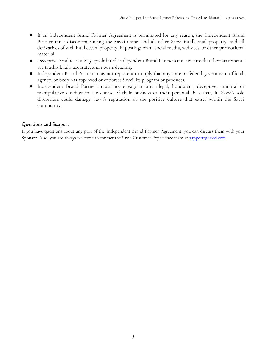- If an Independent Brand Partner Agreement is terminated for any reason, the Independent Brand Partner must discontinue using the Savvi name, and all other Savvi intellectual property, and all derivatives of such intellectual property, in postings on all social media, websites, or other promotional material.
- Deceptive conduct is always prohibited. Independent Brand Partners must ensure that their statements are truthful, fair, accurate, and not misleading.
- Independent Brand Partners may not represent or imply that any state or federal government official, agency, or body has approved or endorses Savvi, its program or products.
- Independent Brand Partners must not engage in any illegal, fraudulent, deceptive, immoral or manipulative conduct in the course of their business or their personal lives that, in Savvi's sole discretion, could damage Savvi's reputation or the positive culture that exists within the Savvi community.

# Questions and Support

If you have questions about any part of the Independent Brand Partner Agreement, you can discuss them with your Sponsor. Also, you are always welcome to contact the Savvi Customer Experience team at [support@Savvi.com.](mailto:customerservice@colorstreet.com)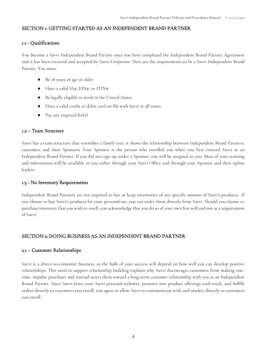#### <span id="page-4-0"></span>SECTION 1: GETTING STARTED AS AN INDEPENDENT BRAND PARTNER

#### 1.1 - Qualifications

You become a Savvi Independent Brand Partner once you have completed the Independent Brand Partner Agreement and it has been received and accepted by Savvi Corporate. Here are the requirements to be a Savvi Independent Brand Partner. You must:

- Be 18 years of age or older
- Have a valid  $SS#$ ,  $EIN#$ , or ITIN#
- Be legally eligible to work in the United States
- Have a valid credit or debit card on file with Savvi at all times
- Pay any required fee(s)

#### 1.2 – Team Structure

Savvi has a team structure that resembles a family tree; it shows the relationship between Independent Brand Partners, customers and their Sponsors. Your Sponsor is the person who enrolled you when you first entered Savvi as an Independent Brand Partner. If you did not sign up under a Sponsor, one will be assigned to you. Most of your training and information will be available to you either through your Savvi Office and through your Sponsor and their upline leaders.

#### 1.3 - No Inventory Requirements

Independent Brand Partners are not required to buy or keep inventories of any specific amount of Savvi's products. If you choose to buy Savvi's products for your personal use, you can order them directly from Savvi. Should you choose to purchase inventory that you wish to resell, you acknowledge that you do so of your own free will and not as a requirement of Savvi.

#### <span id="page-4-1"></span>SECTION 2: DOING BUSINESS AS AN INDEPENDENT BRAND PARTNER

#### 2.1 – Customer Relationships

Savvi is a direct-to-consumer business, so the bulk of your success will depend on how well you can develop positive relationships. This need to support relationship building explains why Savvi discourages customers from making onetime, impulse purchases and instead steers them toward a long-term customer relationship with you as an Independent Brand Partner. Since Savvi hosts your Savvi personal websites, presents new product offerings each week, and fulfills orders directly to customers you enroll, you agree to allow Savvi to communicate with and market directly to customers you enroll.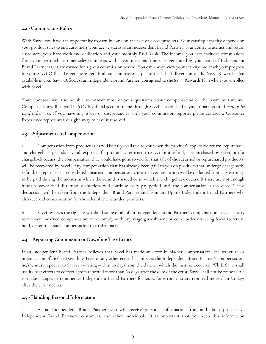#### 2.2 - Commissions Policy

With Savvi, you have the opportunity to earn income on the sale of Savvi products. Your earning capacity depends on your product sales to end customers, your active status as an Independent Brand Partner, your ability to attract and retain customers, your hard work and dedication and your monthly Paid Rank. The income you earn includes commissions from your personal customer sales volume as well as commissions from sales generated by your team of Independent Brand Partners that are earned for a given commission period. You can always view your activity and track your progress in your Savvi Office. To get more details about commissions, please read the full version of the Savvi Rewards Plan available in your Savvi Office. As an Independent Brand Partner, you agreed to the Savvi Rewards Plan when you enrolled with Savvi.

Your Sponsor may also be able to answer most of your questions about compensation or the payment timeline. Compensation will be paid in YOUR official account name through Savvi's established payment partners and *cannot be* paid otherwise. If you have any issues or discrepancies with your commission reports, please contact a Customer Experience representative right away to have it resolved.

#### 2.3 – Adjustments to Compensation

a. Compensation from product sales will be fully available to you when the product's applicable return, repurchase, and chargeback periods have all expired. If a product is returned to Savvi for a refund, is repurchased by Savvi, or if a chargeback occurs, the compensation that would have gone to you for that sale of the returned or repurchased product(s) will be recovered by Savvi. Any compensation that has already been paid to you on products that undergo chargeback, refund, or repurchase is considered unearned compensation. Unearned compensation will be deducted from any earnings to be paid during the month in which the refund is issued or in which the chargeback occurs. If there are not enough funds to cover the full refund, deductions will continue every pay period until the compensation is recovered. These deductions will be taken from the Independent Brand Partner and from any Upline Independent Brand Partners who also received compensation for the sales of the refunded products.

b. Savvi reserves the right to withhold some or all of an Independent Brand Partner's compensation as is necessary to recover unearned compensation or to comply with any wage garnishment or court order directing Savvi to retain, hold, or redirect such compensation to a third party.

#### 2.4 – Reporting Commission or Downline Tree Errors

If an Independent Brand Partner believes that Savvi has made an error in his/her compensation, the structure or organization of his/her Downline Tree, or any other error that impacts the Independent Brand Partner's compensation, he/she must report it to Savvi in writing within 60 days from the date on which the mistake occurred. While Savvi shall use its best efforts to correct errors reported more than 60 days after the date of the error, Savvi shall not be responsible to make changes or remunerate Independent Brand Partners for losses for errors that are reported more than 60 days after the error occurs.

#### 2.5 - Handling Personal Information

a. As an Independent Brand Partner, you will receive personal information from and about prospective Independent Brand Partners, customers, and other individuals. It is important that you keep this information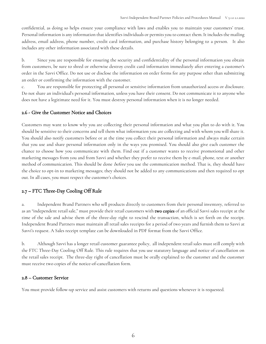confidential, as doing so helps ensure your compliance with laws and enables you to maintain your customers' trust. Personal information is any information that identifies individuals or permits you to contact them. It includes the mailing address, email address, phone number, credit card information, and purchase history belonging to a person. It also includes any other information associated with these details.

b. Since you are responsible for ensuring the security and confidentiality of the personal information you obtain from customers, be sure to shred or otherwise destroy credit card information immediately after entering a customer's order in the Savvi Office. Do not use or disclose the information on order forms for any purpose other than submitting an order or confirming the information with the customer.

c. You are responsible for protecting all personal or sensitive information from unauthorized access or disclosure. Do not share an individual's personal information, unless you have their consent. Do not communicate it to anyone who does not have a legitimate need for it. You must destroy personal information when it is no longer needed.

#### 2.6 - Give the Customer Notice and Choices

Customers may want to know why you are collecting their personal information and what you plan to do with it. You should be sensitive to their concerns and tell them what information you are collecting and with whom you will share it. You should also notify customers before or at the time you collect their personal information and always make certain that you use and share personal information only in the ways you promised. You should also give each customer the chance to choose how you communicate with them. Find out if a customer wants to receive promotional and other marketing messages from you and from Savvi and whether they prefer to receive them by e-mail, phone, text or another method of communication. This should be done before you use the communication method. That is, they should have the choice to opt-in to marketing messages; they should not be added to any communications and then required to opt out. In all cases, you must respect the customer's choices.

# 2.7 – FTC Three-Day Cooling Off Rule

a. Independent Brand Partners who sell products directly to customers from their personal inventory, referred to as an "independent retail sale," must provide their retail customers with two copies of an official Savvi sales receipt at the time of the sale and advise them of the three-day right to rescind the transaction, which is set forth on the receipt. Independent Brand Partners must maintain all retail sales receipts for a period of two years and furnish them to Savvi at Savvi's request. A Sales receipt template can be downloaded in PDF format from the Savvi Office.

b. Although Savvi has a longer retail customer guarantee policy, all independent retail sales must still comply with the FTC Three-Day Cooling Off Rule. This rule requires that you use statutory language and notice of cancellation on the retail sales receipt. The three-day right of cancellation must be orally explained to the customer and the customer must receive two copies of the notice-of-cancellation form.

#### 2.8 – Customer Service

You must provide follow-up service and assist customers with returns and questions whenever it is requested.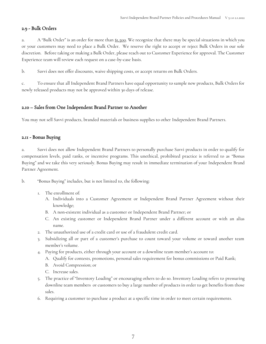#### 2.9 - Bulk Orders

a. A "Bulk Order" is an order for more than \$1,500. We recognize that there may be special situations in which you or your customers may need to place a Bulk Order. We reserve the right to accept or reject Bulk Orders in our sole discretion. Before taking or making a Bulk Order, please reach out to Customer Experience for approval. The Customer Experience team will review each request on a case-by-case basis.

b. Savvi does not offer discounts, waive shipping costs, or accept returns on Bulk Orders.

c. To ensure that all Independent Brand Partners have equal opportunity to sample new products, Bulk Orders for newly released products may not be approved within 30 days of release.

# 2.10 – Sales from One Independent Brand Partner to Another

You may not sell Savvi products, branded materials or business supplies to other Independent Brand Partners.

#### 2.11 - Bonus Buying

a. Savvi does not allow Independent Brand Partners to personally purchase Savvi products in order to qualify for compensation levels, paid ranks, or incentive programs. This unethical, prohibited practice is referred to as "Bonus Buying" and we take this very seriously. Bonus Buying may result in immediate termination of your Independent Brand Partner Agreement.

#### b. "Bonus Buying" includes, but is not limited to, the following:

- 1. The enrollment of:
	- A. Individuals into a Customer Agreement or Independent Brand Partner Agreement without their knowledge;
	- B. A non-existent individual as a customer or Independent Brand Partner; or
	- C. An existing customer or Independent Brand Partner under a different account or with an alias name.
- 2. The unauthorized use of a credit card or use of a fraudulent credit card.
- 3. Subsidizing all or part of a customer's purchase to count toward your volume or toward another team member's volume.
- 4. Paying for products, either through your account or a downline team member's account to:
	- A. Qualify for contests, promotions, personal sales requirement for bonus commissions or Paid Rank;
	- B. Avoid Compression; or
	- C. Increase sales.
- 5. The practice of "Inventory Loading" or encouraging others to do so. Inventory Loading refers to pressuring downline team members or customers to buy a large number of products in order to get benefits from those sales.
- 6. Requiring a customer to purchase a product at a specific time in order to meet certain requirements.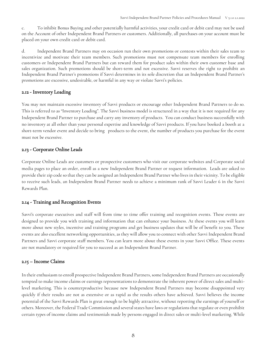c. To inhibit Bonus Buying and other potentially harmful activities, your credit card or debit card may not be used on the Account of other Independent Brand Partners or customers. Additionally, all purchases on your account must be placed on your own credit card or debit card.

d. Independent Brand Partners may on occasion run their own promotions or contests within their sales team to incentivize and motivate their team members. Such promotions must not compensate team members for enrolling customers or Independent Brand Partners but can reward them for product sales within their own customer base and sales organization. Such promotions should be short-term and not excessive. Savvi reserves the right to prohibit an Independent Brand Partner's promotions if Savvi determines in its sole discretion that an Independent Brand Partner's promotions are excessive, undesirable, or harmful in any way or violate Savvi's policies.

#### 2.12 - Inventory Loading

You may not maintain excessive inventory of Savvi products or encourage other Independent Brand Partners to do so. This is referred to as "Inventory Loading". The Savvi business model is structured in a way that it is not required for any Independent Brand Partner to purchase and carry any inventory of products. You can conduct business successfully with no inventory at all other than your personal expertise and knowledge of Savvi products. If you have booked a booth at a short-term vendor event and decide to bring products to the event, the number of products you purchase for the event must not be excessive.

#### 2.13 - Corporate Online Leads

Corporate Online Leads are customers or prospective customers who visit our corporate websites and Corporate social media pages to place an order, enroll as a new Independent Brand Partner or request information. Leads are asked to provide their zip code so that they can be assigned an Independent Brand Partner who lives in their vicinity. To be eligible to receive such leads, an Independent Brand Partner needs to achieve a minimum rank of Savvi Leader 6 in the Savvi Rewards Plan.

#### 2.14 - Training and Recognition Events

Savvi's corporate executives and staff will from time to time offer training and recognition events. These events are designed to provide you with training and information that can enhance your business. At these events you will learn more about new styles, incentive and training programs and get business updates that will be of benefit to you. These events are also excellent networking opportunities, as they will allow you to connect with other Savvi Independent Brand Partners and Savvi corporate staff members. You can learn more about these events in your Savvi Office. These events are not mandatory or required for you to succeed as an Independent Brand Partner.

# 2.15 – Income Claims

In their enthusiasm to enroll prospective Independent Brand Partners, some Independent Brand Partners are occasionally tempted to make income claims or earnings representations to demonstrate the inherent power of direct sales and multilevel marketing. This is counterproductive because new Independent Brand Partners may become disappointed very quickly if their results are not as extensive or as rapid as the results others have achieved. Savvi believes the income potential of the Savvi Rewards Plan is great enough to be highly attractive, without reporting the earnings of yourself or others. Moreover, the Federal Trade Commission and several states have laws or regulations that regulate or even prohibit certain types of income claims and testimonials made by persons engaged in direct sales or multi-level marketing. While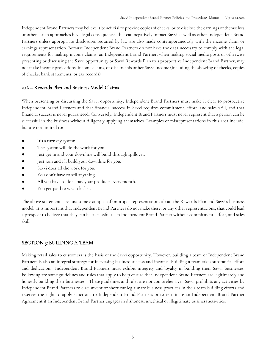Independent Brand Partners may believe it beneficial to provide copies of checks, or to disclose the earnings of themselves or others, such approaches have legal consequences that can negatively impact Savvi as well as other Independent Brand Partners unless appropriate disclosures required by law are also made contemporaneously with the income claim or earnings representation. Because Independent Brand Partners do not have the data necessary to comply with the legal requirements for making income claims, an Independent Brand Partner, when making social media posts or otherwise presenting or discussing the Savvi opportunity or Savvi Rewards Plan to a prospective Independent Brand Partner, may not make income projections, income claims, or disclose his or her Savvi income (including the showing of checks, copies of checks, bank statements, or tax records).

#### 2.16 – Rewards Plan and Business Model Claims

When presenting or discussing the Savvi opportunity, Independent Brand Partners must make it clear to prospective Independent Brand Partners and that financial success in Savvi requires commitment, effort, and sales skill, and that financial success is never guaranteed. Conversely, Independent Brand Partners must never represent that a person can be successful in the business without diligently applying themselves. Examples of misrepresentations in this area include, but are not limited to:

- It's a turnkey system.
- The system will do the work for you.
- Just get in and your downline will build through spillover.
- Just join and I'll build your downline for you.
- Savvi does all the work for you.
- You don't have to sell anything.
- All you have to do is buy your products every month.
- You get paid to wear clothes.

The above statements are just some examples of improper representations about the Rewards Plan and Savvi's business model. It is important that Independent Brand Partners do not make these, or any other representations, that could lead a prospect to believe that they can be successful as an Independent Brand Partner without commitment, effort, and sales skill.

# <span id="page-9-0"></span>SECTION 3: BUILDING A TEAM

Making retail sales to customers is the basis of the Savvi opportunity. However, building a team of Independent Brand Partners is also an integral strategy for increasing business success and income. Building a team takes substantial effort and dedication. Independent Brand Partners must exhibit integrity and loyalty in building their Savvi businesses. Following are some guidelines and rules that apply to help ensure that Independent Brand Partners are legitimately and honestly building their businesses. These guidelines and rules are not comprehensive. Savvi prohibits any activities by Independent Brand Partners to circumvent or short cut legitimate business practices in their team building efforts and reserves the right to apply sanctions to Independent Brand Partners or to terminate an Independent Brand Partner Agreement if an Independent Brand Partner engages in dishonest, unethical or illegitimate business activities.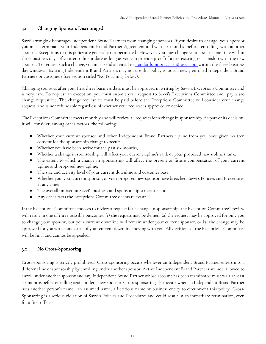# 3.1 Changing Sponsors Discouraged

Savvi strongly discourages Independent Brand Partners from changing sponsors. If you desire to change your sponsor you must terminate your Independent Brand Partner Agreement and wait six months before enrolling with another sponsor. Exceptions to this policy are generally not permitted. However, you may change your sponsor one time within three business days of your enrollment date as long as you can provide proof of a pre-existing relationship with the new sponsor. To request such a change, you must send an email to [standardsandpractices@savvi.com](mailto:standardsandpractices@savvi.com) within the three business day window. Existing Independent Brand Partners may not use this policy to poach newly enrolled Independent Brand Partners or customers (see section titled "No Poaching" below).

Changing sponsors after your first three business days must be approved in writing by Savvi's Exceptions Committee and is very rare. To request an exception, you must submit your request to Savvi's Exceptions Committee and pay a \$50 change request fee. The change request fee must be paid before the Exceptions Committee will consider your change request and is not refundable regardless of whether your request is approved or denied.

The Exceptions Committee meets monthly and will review all requests for a change in sponsorship. As part of its decision, it will consider, among other factors, the following:

- Whether your current sponsor and other Independent Brand Partners upline from you have given written consent for the sponsorship change to occur;
- Whether you have been active for the past six months;
- Whether a change in sponsorship will affect your current upline's rank or your proposed new upline's rank;
- The extent to which a change in sponsorship will affect the present or future compensation of your current upline and proposed new upline;
- The size and activity level of your current downline and customer base;
- Whether you, your current sponsor, or your proposed new sponsor have breached Savvi's Policies and Procedures at any time;
- The overall impact on Savvi's business and sponsorship structure; and
- Any other facts the Exceptions Committee deems relevant.

If the Exceptions Committee chooses to review a request for a change in sponsorship, the Exception Committee's review will result in one of three possible outcomes: (1) the request may be denied, (2) the request may be approved for only you to change your sponsor, but your current downline will remain under your current sponsor, or (3) the change may be approved for you with some or all of your current downline moving with you. All decisions of the Exceptions Committee will be final and cannot be appealed.

#### 3.2 No Cross-Sponsoring

Cross-sponsoring is strictly prohibited. Cross-sponsoring occurs whenever an Independent Brand Partner enters into a different line of sponsorship by enrolling under another sponsor. Active Independent Brand Partners are not allowed to enroll under another sponsor and any Independent Brand Partner whose account has been terminated must wait at least six months before enrolling again under a new sponsor. Cross-sponsoring also occurs when an Independent Brand Partner uses another person's name, an assumed name, a fictitious name or business entity to circumvent this policy. Cross-Sponsoring is a serious violation of Savvi's Policies and Procedures and could result in an immediate termination, even for a first offense.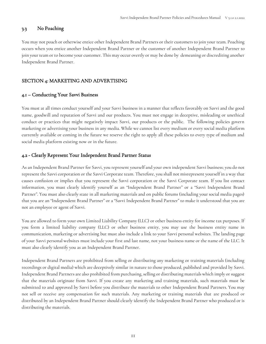#### 3.3 No Poaching

You may not poach or otherwise entice other Independent Brand Partners or their customers to join your team. Poaching occurs when you entice another Independent Brand Partner or the customer of another Independent Brand Partner to join your team or to become your customer. This may occur overtly or may be done by demeaning or discrediting another Independent Brand Partner.

#### <span id="page-11-0"></span>SECTION 4: MARKETING AND ADVERTISING

#### 4.1 – Conducting Your Savvi Business

You must at all times conduct yourself and your Savvi business in a manner that reflects favorably on Savvi and the good name, goodwill and reputation of Savvi and our products. You must not engage in deceptive, misleading or unethical conduct or practices that might negatively impact Savvi, our products or the public. The following policies govern marketing or advertising your business in any media. While we cannot list every medium or every social media platform currently available or coming in the future we reserve the right to apply all these policies to every type of medium and social media platform existing now or in the future.

#### 4.2 - Clearly Represent Your Independent Brand Partner Status

As an Independent Brand Partner for Savvi, you represent yourself and your own independent Savvi business; you do not represent the Savvi corporation or the Savvi Corporate team. Therefore, you shall not misrepresent yourself in a way that causes confusion or implies that you represent the Savvi corporation or the Savvi Corporate team. If you list contact information, you must clearly identify yourself as an "Independent Brand Partner" or a "Savvi Independent Brand Partner". You must also clearly state in all marketing materials and on public forums (including your social media pages) that you are an "Independent Brand Partner" or a "Savvi Independent Brand Partner" to make it understood that you are not an employee or agent of Savvi.

You are allowed to form your own Limited Liability Company (LLC) or other business entity for income tax purposes. If you form a limited liability company (LLC) or other business entity, you may use the business entity name in communication, marketing or advertising but must also include a link to your Savvi personal websites. The landing page of your Savvi personal websites must include your first and last name, not your business name or the name of the LLC. It must also clearly identify you as an Independent Brand Partner.

Independent Brand Partners are prohibited from selling or distributing any marketing or training materials (including recordings or digital media) which are deceptively similar in nature to those produced, published and provided by Savvi. Independent Brand Partners are also prohibited from purchasing, selling or distributing materials which imply or suggest that the materials originate from Savvi. If you create any marketing and training materials, such materials must be submitted to and approved by Savvi before you distribute the materials to other Independent Brand Partners. You may not sell or receive any compensation for such materials. Any marketing or training materials that are produced or distributed by an Independent Brand Partner should clearly identify the Independent Brand Partner who produced or is distributing the materials.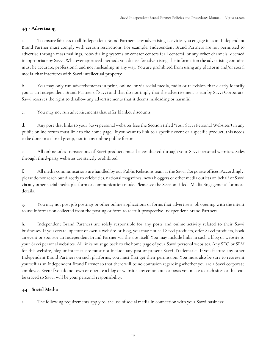# 4.3 - Advertising

a. To ensure fairness to all Independent Brand Partners, any advertising activities you engage in as an Independent Brand Partner must comply with certain restrictions. For example, Independent Brand Partners are not permitted to advertise through mass mailings, robo-dialing systems or contact centers (call centers), or any other channels deemed inappropriate by Savvi. Whatever approved methods you do use for advertising, the information the advertising contains must be accurate, professional and not misleading in any way. You are prohibited from using any platform and/or social media that interferes with Savvi intellectual property.

b. You may only run advertisements in print, online, or via social media, radio or television that clearly identify you as an Independent Brand Partner of Savvi and that do not imply that the advertisement is run by Savvi Corporate. Savvi reserves the right to disallow any advertisements that it deems misleading or harmful.

c. You may not run advertisements that offer blanket discounts.

d. Any post that links to your Savvi personal websites (see the Section titled 'Your Savvi Personal Websites') in any public online forum must link to the home page. If you want to link to a specific event or a specific product, this needs to be done in a closed group, not in any online public forum.

e. All online sales transactions of Savvi products must be conducted through your Savvi personal websites. Sales through third-party websites are strictly prohibited.

f. All media communications are handled by our Public Relations team at the Savvi Corporate offices. Accordingly, please do not reach out directly to celebrities, national magazines, news bloggers or other media outlets on behalf of Savvi via any other social media platform or communication mode. Please see the Section titled 'Media Engagement' for more details.

g. You may not post job postings or other online applications or forms that advertise a job opening with the intent to use information collected from the posting or form to recruit prospective Independent Brand Partners.

h. Independent Brand Partners are solely responsible for any posts and online activity related to their Savvi businesses. If you create, operate or own a website or blog, you may not sell Savvi products, offer Savvi products, book an event or sponsor an Independent Brand Partner via the site itself. You may include links in such a blog or website to your Savvi personal websites. All links must go back to the home page of your Savvi personal websites. Any SEO or SEM for this website, blog or internet site must not include any past or present Savvi Trademarks. If you feature any other Independent Brand Partners on such platforms, you must first get their permission. You must also be sure to represent yourself as an Independent Brand Partner so that there will be no confusion regarding whether you are a Savvi corporate employee. Even if you do not own or operate a blog or website, any comments or posts you make to such sites or that can be traced to Savvi will be your personal responsibility.

# 4.4 - Social Media

a. The following requirements apply to the use of social media in connection with your Savvi business: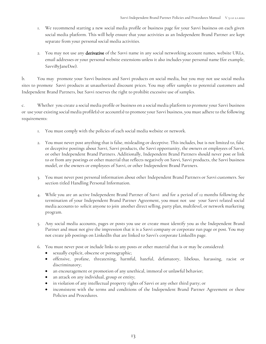- 1. We recommend starting a new social media profile or business page for your Savvi business on each given social media platform. This will help ensure that your activities as an Independent Brand Partner are kept separate from your personal social media activities.
- 2. You may not use any derivative of the Savvi name in any social networking account names, website URLs, email addresses or your personal website extensions unless it also includes your personal name (for example, SavviByJaneDoe).

b. You may promote your Savvi business and Savvi products on social media, but you may not use social media sites to promote Savvi products at unauthorized discount prices. You may offer samples to potential customers and Independent Brand Partners, but Savvi reserves the right to prohibit excessive use of samples.

c. Whether you create a social media profile or business on a social media platform to promote your Savvi business or use your existing social media profile(s) or account(s) to promote your Savvi business, you must adhere to the following requirements:

- 1. You must comply with the policies of each social media website or network.
- 2. You must never post anything that is false, misleading or deceptive. This includes, but is not limited to, false or deceptive postings about Savvi, Savvi products, the Savvi opportunity, the owners or employees of Savvi, or other Independent Brand Partners. Additionally, Independent Brand Partners should never post or link to or from any postings or other material that reflects negatively on Savvi, Savvi products, the Savvi business model, or the owners or employees of Savvi, or other Independent Brand Partners.
- 3. You must never post personal information about other Independent Brand Partners or Savvi customers. See section titled Handling Personal Information.
- 4. While you are an active Independent Brand Partner of Savvi and for a period of 12 months following the termination of your Independent Brand Partner Agreement, you must not use your Savvi related social media accounts to solicit anyone to join another direct selling, party plan, multilevel, or network marketing program.
- 5. Any social media accounts, pages or posts you use or create must identify you as the Independent Brand Partner and must not give the impression that it is a Savvi company or corporate run page or post. You may not create job postings on LinkedIn that are linked to Savvi's corporate LinkedIn page.
- 6. You must never post or include links to any posts or other material that is or may be considered:
	- sexually explicit, obscene or pornographic;
	- offensive, profane, threatening, harmful, hateful, defamatory, libelous, harassing, racist or discriminatory;
	- an encouragement or promotion of any unethical, immoral or unlawful behavior;
	- an attack on any individual, group or entity;
	- in violation of any intellectual property rights of Savvi or any other third party; or
	- inconsistent with the terms and conditions of the Independent Brand Partner Agreement or these Policies and Procedures.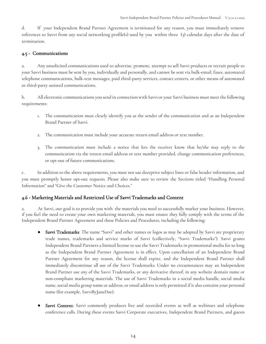d. If your Independent Brand Partner Agreement is terminated for any reason, you must immediately remove references to Savvi from any social networking profile(s) used by you within three (3) calendar days after the date of termination.

#### 4.5 - Communications

a. Any unsolicited communications used to advertise, promote, attempt to sell Savvi products or recruit people to your Savvi business must be sent by you, individually and personally, and cannot be sent via bulk-email, faxes, automated telephone communications, bulk-text messages, paid third-party services, contact centers, or other means of automated or third-party assisted communications.

b. All electronic communications you send in connection with Savvi or your Savvi business must meet the following requirements:

- 1. The communication must clearly identify you as the sender of the communication and as an Independent Brand Partner of Savvi.
- 2. The communication must include your accurate return email address or text number.
- 3. The communication must include a notice that lets the receiver know that he/she may reply to the communication via the return email address or text number provided, change communication preferences, or opt-out of future communications.

c. In addition to the above requirements, you must not use deceptive subject lines or false header information, and you must promptly honor opt-out requests. Please also make sure to review the Sections titled "Handling Personal Information" and "Give the Customer Notice and Choices."

# 4.6 - Marketing Materials and Restricted Use of Savvi Trademarks and Content

a. At Savvi, our goal is to provide you with the materials you need to successfully market your business. However, if you feel the need to create your own marketing materials, you must ensure they fully comply with the terms of the Independent Brand Partner Agreement and these Policies and Procedures, including the following:

- Savvi Trademarks: The name "Savvi" and other names or logos as may be adopted by Savvi are proprietary trade names, trademarks and service marks of Savvi (collectively, "Savvi Trademarks"). Savvi grants Independent Brand Partners a limited license to use the Savvi Trademarks in promotional media for so long as the Independent Brand Partner Agreement is in effect. Upon cancellation of an Independent Brand Partner Agreement for any reason, the license shall expire, and the Independent Brand Partner shall immediately discontinue all use of the Savvi Trademarks. Under no circumstances may an Independent Brand Partner use any of the Savvi Trademarks, or any derivative thereof, in any website domain name or non-compliant marketing materials. The use of Savvi Trademarks in a social media handle, social media name, social media group name or address, or email address is only permitted if it also contains your personal name (for example, SavviByJaneDoe).
- Savvi Content: Savvi commonly produces live and recorded events as well as webinars and telephone conference calls. During these events Savvi Corporate executives, Independent Brand Partners, and guests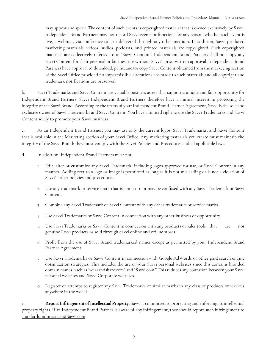may appear and speak. The content of such events is copyrighted material that is owned exclusively by Savvi. Independent Brand Partners may not record Savvi events or functions for any reason, whether such event is live, a webinar, via conference call, or delivered through any other medium. In addition, Savvi produced marketing materials, videos, audios, podcasts, and printed materials are copyrighted. Such copyrighted materials are collectively referred to as "Savvi Content". Independent Brand Partners shall not copy any Savvi Content for their personal or business use without Savvi's prior written approval. Independent Brand Partners have approval to download, print, and/or copy Savvi Content obtained from the marketing section of the Savvi Office provided no impermissible alterations are made to such materials and all copyright and trademark notifications are preserved.

b. Savvi Trademarks and Savvi Content are valuable business assets that support a unique and fair opportunity for Independent Brand Partners. Savvi Independent Brand Partners therefore have a mutual interest in protecting the integrity of the Savvi Brand. According to the terms of your Independent Brand Partner Agreement, Savvi is the sole and exclusive owner of Savvi Trademarks and Savvi Content. You have a limited right to use the Savvi Trademarks and Savvi Content solely to promote your Savvi business.

c. As an Independent Brand Partner, you may use only the current logos, Savvi Trademarks, and Savvi Content that is available in the Marketing section of your Savvi Office. Any marketing materials you create must maintain the integrity of the Savvi Brand; they must comply with the Savvi Policies and Procedures and all applicable laws.

- d. In addition, Independent Brand Partners must not:
	- 1. Edit, alter or customize any Savvi Trademark, including logos approved for use, or Savvi Content in any manner. Adding text to a logo or image is permitted as long as it is not misleading or is not a violation of Savvi's other policies and procedures.
	- 2. Use any trademark or service mark that is similar to or may be confused with any Savvi Trademark or Savvi Content.
	- 3. Combine any Savvi Trademark or Savvi Content with any other trademarks or service marks.
	- 4. Use Savvi Trademarks or Savvi Content in connection with any other business or opportunity.
	- 5. Use Savvi Trademarks or Savvi Content in connection with any products or sales tools that are not genuine Savvi products or sold through Savvi online and offline stores.
	- 6. Profit from the use of Savvi Brand trademarked names except as permitted by your Independent Brand Partner Agreement.
	- 7. Use Savvi Trademarks or Savvi Content in connection with Google AdWords or other paid search engine optimization strategies. This includes the use of your Savvi personal websites since this contains branded domain names, such as "wearandshare.com" and "Savvi.com." This reduces any confusion between your Savvi personal websites and Savvi Corporate websites.
	- 8. Register or attempt to register any Savvi Trademarks or similar marks in any class of products or services anywhere in the world.

e. Report Infringement of Intellectual Property: Savvi is committed to protecting and enforcing its intellectual property rights. If an Independent Brand Partner is aware of any infringement, they should report such infringement to standardsandpractices@Savvi.com.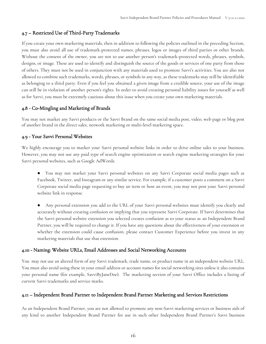#### 4.7 – Restricted Use of Third-Party Trademarks

If you create your own marketing materials, then in addition to following the policies outlined in the preceding Section, you must also avoid all use of trademark-protected names, phrases, logos or images of third parties or other brands. Without the consent of the owner, you are not to use another person's trademark-protected words, phrases, symbols, designs, or image. These are used to identify and distinguish the source of the goods or services of one party from those of others. They must not be used in conjunction with any materials used to promote Savvi's activities. You are also not allowed to combine such trademarks, words, phrases, or symbols in any way, as these trademarks may still be identifiable as belonging to a third party. Even if you feel you obtained a given image from a credible source, your use of the image can still be in violation of another person's rights. In order to avoid creating personal liability issues for yourself as well as for Savvi, you must be extremely cautious about this issue when you create your own marketing materials.

#### 4.8 - Co-Mingling and Marketing of Brands

You may not market any Savvi products or the Savvi Brand on the same social media post, video, web page or blog post of another brand in the direct sales, network marketing or multi-level marketing space.

#### 4.9 - Your Savvi Personal Websites

We highly encourage you to market your Savvi personal website links in order to drive online sales to your business. However, you may not use any paid type of search engine optimization or search engine marketing strategies for your Savvi personal websites, such as Google AdWords.

- You may not market your Savvi personal websites on any Savvi Corporate social media pages such as Facebook, Twitter, and Instagram or any similar service. For example, if a customer posts a comment on a Savvi Corporate social media page requesting to buy an item or host an event, you may not post your Savvi personal website link in response.
- Any personal extension you add to the URL of your Savvi personal websites must identify you clearly and accurately without creating confusion or implying that you represent Savvi Corporate. If Savvi determines that the Savvi personal website extension you selected creates confusion as to your status as an Independent Brand Partner, you will be required to change it. If you have any questions about the effectiveness of your extension or whether the extension could cause confusion, please contact Customer Experience before you invest in any marketing materials that use that extension.

#### 4.10 - Naming: Website URLs, Email Addresses and Social Networking Accounts

You may not use an altered form of any Savvi trademark, trade name, or product name in an independent website URL. You must also avoid using these in your email address or account names for social networking sites unless it also contains your personal name (for example, SavviByJaneDoe). The marketing section of your Savvi Office includes a listing of current Savvi trademarks and service marks.

#### 4.11 – Independent Brand Partner to Independent Brand Partner Marketing and Services Restrictions

As an Independent Brand Partner, you are not allowed to promote any non-Savvi marketing services or business aids of any kind to another Independent Brand Partner for use in such other Independent Brand Partner's Savvi business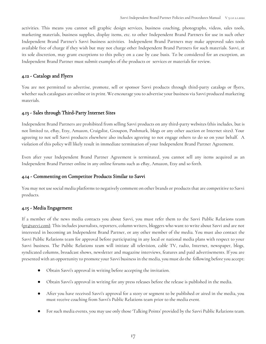activities. This means you cannot sell graphic design services, business coaching, photographs, videos, sales tools, marketing materials, business supplies, display items, etc. to other Independent Brand Partners for use in such other Independent Brand Partner's Savvi business activities. Independent Brand Partners may make approved sales tools available free of charge if they wish but may not charge other Independent Brand Partners for such materials. Savvi, at its sole discretion, may grant exceptions to this policy on a case by case basis. To be considered for an exception, an Independent Brand Partner must submit examples of the products or services or materials for review.

# 4.12 - Catalogs and Flyers

You are not permitted to advertise, promote, sell or sponsor Savvi products through third-party catalogs or flyers, whether such catalogues are online or in print. We encourage you to advertise your business via Savvi produced marketing materials.

# 4.13 - Sales through Third-Party Internet Sites

Independent Brand Partners are prohibited from selling Savvi products on any third-party websites (this includes, but is not limited to, eBay, Etsy, Amazon, Craigslist, Groupon, Poshmark, blogs or any other auction or Internet sites). Your agreeing to not sell Savvi products elsewhere also includes agreeing to not engage others to do so on your behalf. A violation of this policy will likely result in immediate termination of your Independent Brand Partner Agreement.

Even after your Independent Brand Partner Agreement is terminated, you cannot sell any items acquired as an Independent Brand Partner online in any online forums such as eBay, Amazon, Etsy and so forth.

# 4.14 - Commenting on Competitor Products Similar to Savvi

You may not use social media platforms to negatively comment on other brands or products that are competitive to Savvi products.

# 4.15 - Media Engagement

If a member of the news media contacts you about Savvi, you must refer them to the Savvi Public Relations team (pr@savvi.com). This includes journalists, reporters, column writers, bloggers who want to write about Savvi and are not interested in becoming an Independent Brand Partner, or any other member of the media. You must also contact the Savvi Public Relations team for approval before participating in any local or national media plans with respect to your Savvi business. The Public Relations team will initiate all television, cable TV, radio, Internet, newspaper, blogs, syndicated columns, broadcast shows, newsletter and magazine interviews, features and paid advertisements. If you are presented with an opportunity to promote your Savvi business in the media, you must do the following before you accept:

- Obtain Savvi's approval in writing before accepting the invitation.
- Obtain Savvi's approval in writing for any press releases before the release is published in the media.
- After you have received Savvi's approval for a story or segment to be published or aired in the media, you must receive coaching from Savvi's Public Relations team prior to the media event.
- For such media events, you may use only those 'Talking Points' provided by the Savvi Public Relations team.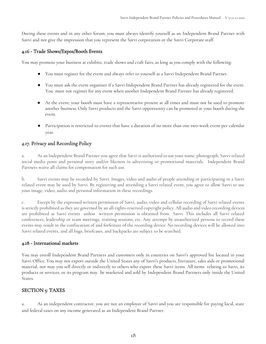During these events and in any other forum, you must always identify yourself as an Independent Brand Partner with Savvi and not give the impression that you represent the Savvi corporation or the Savvi Corporate staff.

#### 4.16 - Trade Shows/Expos/Booth Events

You may promote your business at exhibits, trade shows and craft fairs, as long as you comply with the following:

- You must register for the event and always refer to yourself as a Savvi Independent Brand Partner.
- You must ask the event organizer if a Savvi Independent Brand Partner has already registered for the event. You must not register for any event when another Independent Brand Partner has already registered.
- At the event, your booth must have a representative present at all times and must not be used to promote another business. Only Savvi products and the Savvi opportunity can be promoted at your booth during the event.
- Participation is restricted to events that have a duration of no more than one two-week event per calendar year.

# 4.17. Privacy and Recording Policy

a. As an Independent Brand Partner you agree that Savvi is authorized to use your name, photograph, Savvi-related social media posts and personal story and/or likeness in advertising or promotional materials. Independent Brand Partners waive all claims for compensation for such use.

b. Savvi events may be recorded by Savvi. Images, video and audio of people attending or participating in a Savvi related event may be used by Savvi. By registering and attending a Savvi related event, you agree to allow Savvi to use your image, video, audio and personal information in these recordings.

c. Except by the expressed written permission of Savvi, audio, video and cellular recording of Savvi related events is strictly prohibited as they are governed by an all-rights-reserved copyright policy. All audio and video recording devices are prohibited at Savvi events unless written permission is obtained from Savvi. This includes all Savvi related conferences, leadership or team meetings, training sessions, etc. Any attempt by unauthorized persons to record these events may result in the confiscation of and forfeiture of the recording device. No recording devices will be allowed into Savvi related events, and all bags, briefcases, and backpacks are subject to be searched.

# 4.18 - International markets

You may enroll Independent Brand Partners and customers only in countries on Savvi's approved list located in your Savvi Office. You may not export outside the United States any of Savvi's products, literature, sales aids or promotional material, nor may you sell directly or indirectly to others who export these Savvi items. All items relating to Savvi, its products or services, or its program may be marketed and sold by Independent Brand Partners only inside the United States.

# <span id="page-18-0"></span>SECTION 5: TAXES

a. As an independent contractor, you are not an employee of Savvi and you are responsible for paying local, state and federal taxes on any income generated as an Independent Brand Partner.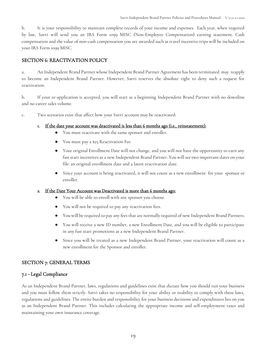b. It is your responsibility to maintain complete records of your income and expenses. Each year, when required by law, Savvi will send you an IRS Form 1099 MISC (Non-Employee Compensation) earning statement. Cash compensation and the value of non-cash compensation you are awarded such as travel incentive trips will be included on your IRS Form 1099 MISC.

#### <span id="page-19-0"></span>SECTION 6: REACTIVATION POLICY

a. An Independent Brand Partner whose Independent Brand Partner Agreement has been terminated may reapply to become an Independent Brand Partner. However, Savvi reserves the absolute right to deny such a request for reactivation.

b. If your re-application is accepted, you will start as a beginning Independent Brand Partner with no downline and no career sales volume.

c. Two scenarios exist that affect how your Savvi account may be reactivated:

#### 1. If the date your account was deactivated is less than 6 months ago (i.e., reinstatement):

- You must reactivate with the same sponsor and enroller.
- You must pay a \$25 Reactivation Fee.
- Your original Enrollment Date will not change, and you will not have the opportunity to earn any fast start incentives as a new Independent Brand Partner. You will see two important dates on your file: an original enrollment date and a latest reactivation date.
- Since your account is being reactivated, it will not count as a new enrollment for your sponsor or enroller.

#### 2. If the Date Your Account was Deactivated is more than 6 months ago:

- You will be able to enroll with any sponsor you choose.
- You will not be required to pay any reactivation fees.
- **●** You will be required to pay any fees that are normally required of new Independent Brand Partners.
- You will receive a new ID number, a new Enrollment Date, and you will be eligible to participate in any fast start promotions as a new Independent Brand Partner.
- <span id="page-19-1"></span>**●** Since you will be treated as a new Independent Brand Partner, your reactivation will count as a new enrollment for the Sponsor and enroller.

#### SECTION 7: GENERAL TERMS

#### 7.1 - Legal Compliance

As an Independent Brand Partner, laws, regulations and guidelines exist that dictate how you should run your business and you must follow them strictly. Savvi takes no responsibility for your ability or inability to comply with these laws, regulations and guidelines. The entire burden and responsibility for your business decisions and expenditures lies on you as an Independent Brand Partner. This includes calculating the appropriate income and self-employment taxes and maintaining your own insurance coverage.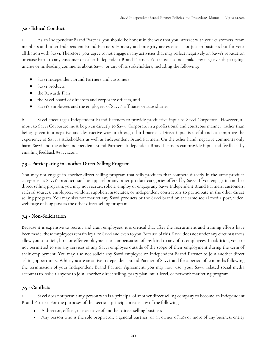#### 7.2 - Ethical Conduct

a. As an Independent Brand Partner, you should be honest in the way that you interact with your customers, team members and other Independent Brand Partners. Honesty and integrity are essential not just in business but for your affiliation with Savvi. Therefore, you agree to not engage in any activities that may reflect negatively on Savvi's reputation or cause harm to any customer or other Independent Brand Partner. You must also not make any negative, disparaging, untrue or misleading comments about Savvi, or any of its stakeholders, including the following:

- Savvi Independent Brand Partners and customers
- Savvi products
- the Rewards Plan
- the Savvi board of directors and corporate officers, and
- Savvi's employees and the employees of Savvi's affiliates or subsidiaries

b. Savvi encourages Independent Brand Partners to provide productive input to Savvi Corporate. However, all input to Savvi Corporate must be given directly to Savvi Corporate in a professional and courteous manner rather than being given in a negative and destructive way or through third parties . Direct input is useful and can improve the experience of Savvi's stakeholders as well as Independent Brand Partners. On the other hand, negative comments only harm Savvi and the other Independent Brand Partners. Independent Brand Partners can provide input and feedback by emailing feedback@savvi.com.

# 7.3 – Participating in another Direct Selling Program

You may not engage in another direct selling program that sells products that compete directly in the same product categories as Savvi's products such as apparel or any other product categories offered by Savvi. If you engage in another direct selling program, you may not recruit, solicit, employ or engage any Savvi Independent Brand Partners, customers, referral sources, employees, vendors, suppliers, associates, or independent contractors to participate in the other direct selling program. You may also not market any Savvi products or the Savvi brand on the same social media post, video, web page or blog post as the other direct selling program.

# 7.4 - Non-Solicitation

Because it is expensive to recruit and train employees, it is critical that after the recruitment and training efforts have been made, these employees remain loyal to Savvi and even to you. Because of this, Savvi does not under any circumstances allow you to solicit, hire, or offer employment or compensation of any kind to any of its employees. In addition, you are not permitted to use any services of any Savvi employee outside of the scope of their employment during the term of their employment. You may also not solicit any Savvi employee or Independent Brand Partner to join another direct selling opportunity. While you are an active Independent Brand Partner of Savvi and for a period of 12 months following the termination of your Independent Brand Partner Agreement, you may not use your Savvi related social media accounts to solicit anyone to join another direct selling, party plan, multilevel, or network marketing program.

# 7.5 - Conflicts

a. Savvi does not permit any person who is a principal of another direct selling company to become an Independent Brand Partner. For the purposes of this section, principal means any of the following:

- A director, officer, or executive of another direct selling business
- Any person who is the sole proprietor, a general partner, or an owner of 10% or more of any business entity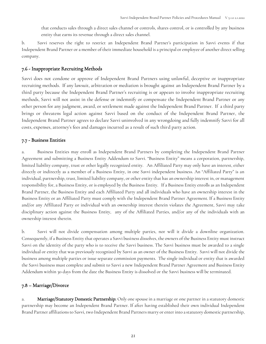that conducts sales through a direct sales channel or controls, shares control, or is controlled by any business entity that earns its revenue through a direct sales channel.

b. Savvi reserves the right to restrict an Independent Brand Partner's participation in Savvi events if that Independent Brand Partner or a member of their immediate household is a principal or employee of another direct selling company.

#### 7.6 - Inappropriate Recruiting Methods

Savvi does not condone or approve of Independent Brand Partners using unlawful, deceptive or inappropriate recruiting methods. If any lawsuit, arbitration or mediation is brought against an Independent Brand Partner by a third party because the Independent Brand Partner's recruiting is or appears to involve inappropriate recruiting methods, Savvi will not assist in the defense or indemnify or compensate the Independent Brand Partner or any other person for any judgment, award, or settlement made against the Independent Brand Partner. If a third party brings or threatens legal action against Savvi based on the conduct of the Independent Brand Partner, the Independent Brand Partner agrees to declare Savvi uninvolved in any wrongdoing and fully indemnify Savvi for all costs, expenses, attorney's fees and damages incurred as a result of such third party action.

#### 7.7 - Business Entities

a. Business Entities may enroll as Independent Brand Partners by completing the Independent Brand Partner Agreement and submitting a Business Entity Addendum to Savvi. "Business Entity" means a corporation, partnership, limited liability company, trust or other legally recognized entity. An Affiliated Party may only have an interest, either directly or indirectly as a member of a Business Entity, in one Savvi independent business. An "Affiliated Party" is an individual, partnership, trust, limited liability company, or other entity that has an ownership interest in, or management responsibility for, a Business Entity, or is employed by the Business Entity. If a Business Entity enrolls as an Independent Brand Partner, the Business Entity and each Affiliated Party and all individuals who have an ownership interest in the Business Entity or an Affiliated Party must comply with the Independent Brand Partner Agreement. If a Business Entity and/or any Affiliated Party or individual with an ownership interest therein violates the Agreement, Savvi may take disciplinary action against the Business Entity, any of the Affiliated Parties, and/or any of the individuals with an ownership interest therein.

b. Savvi will not divide compensation among multiple parties, nor will it divide a downline organization. Consequently, if a Business Entity that operates a Savvi business dissolves, the owners of the Business Entity must instruct Savvi on the identity of the party who is to receive the Savvi business. The Savvi business must be awarded to a single individual or entity that was previously recognized by Savvi as an owner of the Business Entity. Savvi will not divide the business among multiple parties or issue separate commission payments. The single individual or entity that is awarded the Savvi business must complete and submit to Savvi a new Independent Brand Partner Agreement and Business Entity Addendum within 30 days from the date the Business Entity is dissolved or the Savvi business will be terminated.

# 7.8 – Marriage/Divorce

a. Marriage/Statutory Domestic Partnership: Only one spouse in a marriage or one partner in a statutory domestic partnership may become an Independent Brand Partner. If after having established their own individual Independent Brand Partner affiliations to Savvi, two Independent Brand Partners marry or enter into a statutory domestic partnership,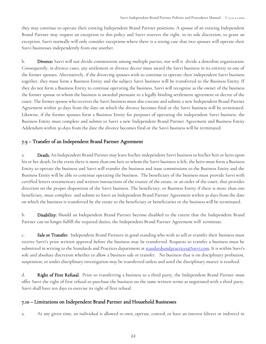they may continue to operate their existing Independent Brand Partner positions. A spouse of an existing Independent Brand Partner may request an exception to this policy and Savvi reserves the right, in its sole discretion, to grant an exception. Savvi normally will only consider exceptions where there is a strong case that two spouses will operate their Savvi businesses independently from one another.

b. Divorce: Savvi will not divide commissions among multiple parties, nor will it divide a downline organization. Consequently, in divorce cases, any settlement or divorce decree must award the Savvi business in its entirety to one of the former spouses. Alternatively, if the divorcing spouses wish to continue to operate their independent Savvi business together, they must form a Business Entity and the subject Savvi business will be transferred to the Business Entity. If they do not form a Business Entity to continue operating the business, Savvi will recognize as the owner of the business the former spouse to whom the business is awarded pursuant to a legally binding settlement agreement or decree of the court. The former spouse who receives the Savvi business must also execute and submit a new Independent Brand Partner Agreement within 30 days from the date on which the divorce becomes final or the Savvi business will be terminated. Likewise, if the former spouses form a Business Entity for purposes of operating the independent Savvi business, the Business Entity must complete and submit to Savvi a new Independent Brand Partner Agreement and Business Entity Addendum within 30 days from the date the divorce becomes final or the Savvi business will be terminated.

# 7.9 – Transfer of an Independent Brand Partner Agreement

a. Death: An Independent Brand Partner may leave his/her independent Savvi business to his/her heir or heirs upon his or her death. In the event there is more than one heir to whom the Savvi business is left, the heirs must form a Business Entity to operate the business and Savvi will transfer the business and issue commissions to the Business Entity and the Business Entity will be able to continue operating the business. The beneficiary of the business must provide Savvi with certified letters testamentary and written instructions of the trustee of the estate, or an order of the court, that provides direction on the proper disposition of the Savvi business. The beneficiary, or Business Entity if there is more than one beneficiary, must complete and submit to Savvi an Independent Brand Partner Agreement within 30 days from the date on which the business is transferred by the estate to the beneficiary or beneficiaries or the business will be terminated.

b. Disability: Should an Independent Brand Partner become disabled to the extent that the Independent Brand Partner can no longer fulfill the required duties, the Independent Brand Partner Agreement will terminate.

c. Sale or Transfer: Independent Brand Partners in good standing who wish to sell or transfer their business must receive Savvi's prior written approval before the business may be transferred. Requests to transfer a business must be submitted in writing to the Standards and Practices department a[t standardsandpractices@Savvi.com](mailto:legal@colorstreet.com). It is within Savvi's sole and absolute discretion whether to allow a business sale or transfer. No business that is on disciplinary probation, suspension, or under disciplinary investigation may be transferred unless and until the disciplinary matter is resolved.

d. Right of First Refusal: Prior to transferring a business to a third party, the Independent Brand Partner must offer Savvi the right of first refusal to purchase the business on the same written terms as negotiated with a third party. Savvi shall have ten days to exercise its right of first refusal.

# 7.10 – Limitations on Independent Brand Partner and Household Businesses

a. At any given time, an individual is allowed to own, operate, control, or have an interest (direct or indirect) in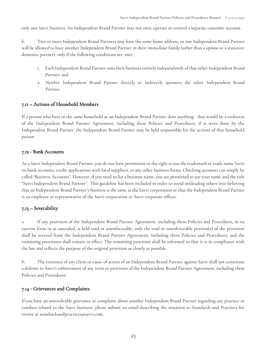only one Savvi business. An Independent Brand Partner may not own, operate or control a separate customer account.

b. Two or more Independent Brand Partners may have the same home address, or one Independent Brand Partner will be allowed to have another Independent Brand Partner in their immediate family (other than a spouse or a statutory domestic partner), only if the following conditions are met:

- 1. Each Independent Brand Partner runs their business entirely independently of that other Independent Brand Partner; and
- 2. Neither Independent Brand Partner directly or indirectly sponsors the other Independent Brand Partner.

#### 7.11 – Actions of Household Members

If a person who lives in the same household as an Independent Brand Partner does anything that would be a violation of the Independent Brand Partner Agreement, including these Policies and Procedures, if it were done by the Independent Brand Partner, the Independent Brand Partner may be held responsible for the actions of that household person .

#### 7.12 - Bank Accounts

As a Savvi Independent Brand Partner, you do not have permission or the right to use the trademark or trade name Savvi on bank accounts, credit applications with local suppliers, or any other business forms. Checking accounts can simply be called "Business Accounts". However, if you need to list a business name, you are permitted to use your name and the title "Savvi Independent Brand Partner". This guideline has been included in order to avoid misleading others into believing that an Independent Brand Partner's business is the same as the Savvi corporation or that the Independent Brand Partner is an employee or representative of the Savvi corporation or Savvi corporate offices.

# 7.13 – Severability

a. If any provision of the Independent Brand Partner Agreement, including these Policies and Procedures, in its current form or as amended, is held void or unenforceable, only the void or unenforceable portion(s) of the provision shall be severed from the Independent Brand Partner Agreement, including these Policies and Procedures, and the remaining provisions shall remain in effect. The remaining provision shall be reformed so that it is in compliance with the law and reflects the purpose of the original provision as closely as possible.

b. The existence of any claim or cause of action of an Independent Brand Partner against Savvi shall not constitute a defense to Savvi's enforcement of any term or provision of the Independent Brand Partner Agreement, including these Policies and Procedures.

# 7.14 - Grievances and Complaints

If you have an unresolvable grievance or complaint about another Independent Brand Partner regarding any practice or conduct related to the Savvi business, please submit an email describing the situation to Standards and Practices for review at standardsandpractices@savvi.com.